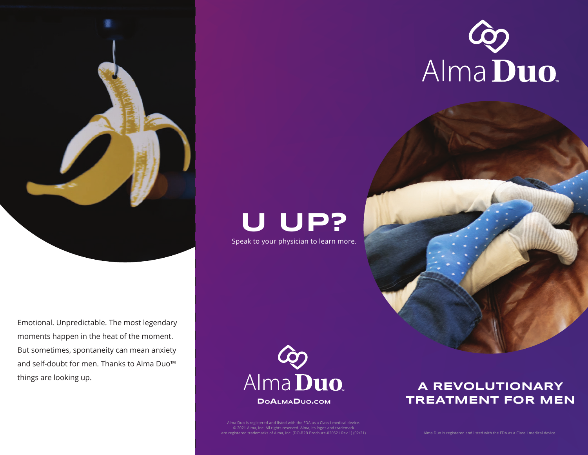



Emotional. Unpredictable. The most legendary moments happen in the heat of the moment. But sometimes, spontaneity can mean anxiety and self-doubt for men. Thanks to Alma Duo™ things are looking up.

# **U UP?**

Speak to your physician to learn more.



Alma Duo is registered and listed with the FDA as a Class I medical device. © 2021 Alma, Inc. All rights reserved. Alma, its logos and trademark are registered trademarks of Alma, Inc. [DO-B2B Brochure-020521 Rev 1] (02/21)

## **A REVOLUTIONARY TREATMENT FOR MEN**